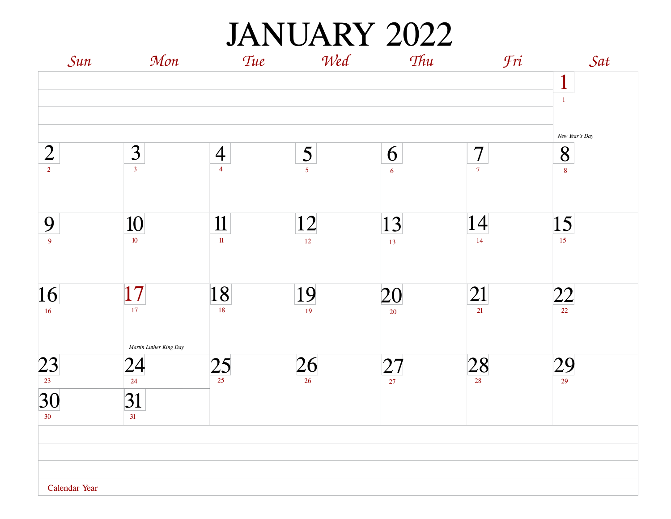JANUARY 2022

| Sun                 | Mon                    | Tue            | Wed             | Thu             | Fri                  | Sat                   |
|---------------------|------------------------|----------------|-----------------|-----------------|----------------------|-----------------------|
|                     |                        |                |                 |                 |                      | $\mathbf{1}$<br>$1\,$ |
|                     |                        |                |                 |                 |                      | New Year's Day        |
| $\overline{2}$      | $\frac{3}{3}$          | $\overline{4}$ | $rac{5}{15}$    | 6               | $\overline{7}$       | 8                     |
| $\overline{2}$      |                        | $\overline{4}$ |                 | $\overline{6}$  | $\overline{7}$       | $\bf 8$               |
|                     |                        |                |                 |                 | 14                   |                       |
| 9<br>$\overline{9}$ | 10<br>$10$             | 11<br>$11\,$   | 12<br>12        | 13<br>13        | 14                   | 15<br>15 <sup>°</sup> |
|                     |                        |                |                 |                 |                      |                       |
| 16                  |                        | 18             | 19              |                 | 21                   |                       |
| 16                  | $\frac{17}{17}$        | 18             | 19              | $\frac{20}{20}$ | 21                   | $\frac{22}{22}$       |
|                     | Martin Luther King Day |                |                 |                 |                      |                       |
| $\frac{23}{123}$    | 24                     | $25 \over 25$  | $\frac{26}{26}$ | $\frac{27}{27}$ | $28_{\frac{28}{28}}$ | $\frac{29}{29}$       |
|                     | 24                     |                |                 |                 |                      |                       |
| 30                  | 31                     |                |                 |                 |                      |                       |
| 30 <sup>°</sup>     | 31                     |                |                 |                 |                      |                       |
|                     |                        |                |                 |                 |                      |                       |
|                     |                        |                |                 |                 |                      |                       |
|                     |                        |                |                 |                 |                      |                       |
| Calendar Year       |                        |                |                 |                 |                      |                       |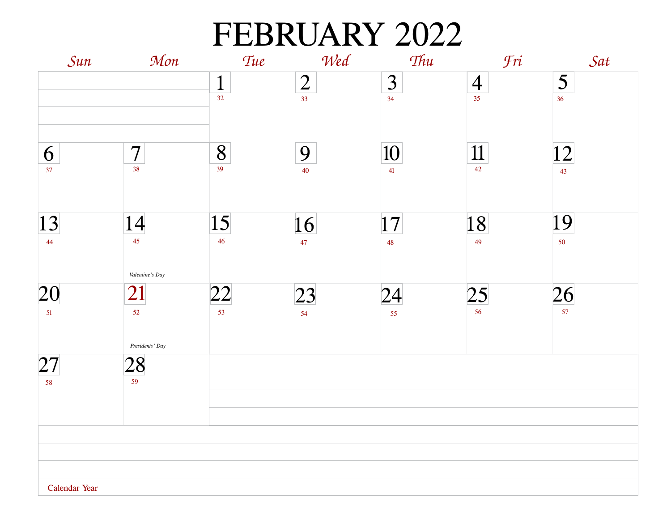### FEBRUARY 2022

| Sun           | Mon                         | Tue                    | Wed                               | Thu                           | Fri                  | Sat      |
|---------------|-----------------------------|------------------------|-----------------------------------|-------------------------------|----------------------|----------|
|               |                             | $\mathbf{1}$<br>32     | $\overline{2}$<br>33 <sup>°</sup> | $\overline{\mathbf{3}}$<br>34 | $\overline{4}$<br>35 | 5<br>36  |
| 6<br>37       | $\overline{7}$<br>38        | 8<br>39                | 9<br>40                           | 10<br>41                      | 11<br>42             | 12<br>43 |
| 13<br>44      | 14<br>45<br>Valentine's Day | 15 <br>$46\phantom{.}$ | 16<br>$\overline{47}$             | 17 <br>48                     | 18<br>49             | 19<br>50 |
| 20<br>51      | 21<br>52<br>Presidents' Day | 22<br>53               | 23<br>54                          | 24<br>55                      | 25<br>56             | 26<br>57 |
| 27<br>58      | $\frac{28}{159}$            |                        |                                   |                               |                      |          |
| Calendar Year |                             |                        |                                   |                               |                      |          |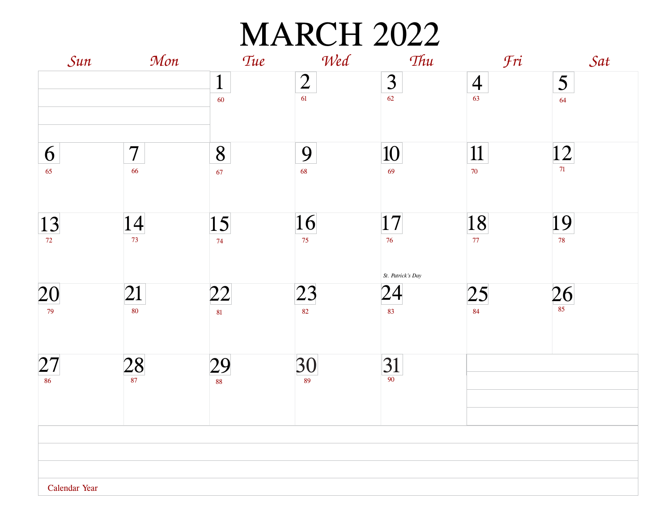# **MARCH 2022**

| Sun                       | Mon                            | Tue                | Wed                  | Thu                                        | <b>Fri</b>                | Sat                           |
|---------------------------|--------------------------------|--------------------|----------------------|--------------------------------------------|---------------------------|-------------------------------|
|                           |                                | $\mathbf{1}$<br>60 | $\overline{2}$<br>61 | $\overline{\mathbf{3}}$<br>62              | $\overline{4}$<br>63      | $\overline{\mathbf{5}}$<br>64 |
| 6<br>65                   | $\overline{\mathcal{L}}$<br>66 | 8<br>67            | 9<br>68              | 10<br>69                                   | 11<br>$70\,$              | 12 <br>71                     |
| $\boxed{13}$              | $\frac{14}{73}$                | 15<br>74           | 16<br>75             | 17 <br>76                                  | $\frac{18}{77}$           | 19<br>78                      |
| 20<br>79                  | 21<br>80                       | 22<br>81           | 23<br>82             | St. Patrick's Day<br>$\overline{24}$<br>83 | $\frac{25}{\frac{84}{5}}$ | $\frac{26}{\frac{85}{}}$      |
| $\frac{27}{\frac{86}{5}}$ | $\frac{28}{\frac{87}{2}}$      | $\frac{29}{88}$    | $\frac{30}{89}$      | $31$ <sub>90</sub>                         |                           |                               |
|                           |                                |                    |                      |                                            |                           |                               |
| Calendar Year             |                                |                    |                      |                                            |                           |                               |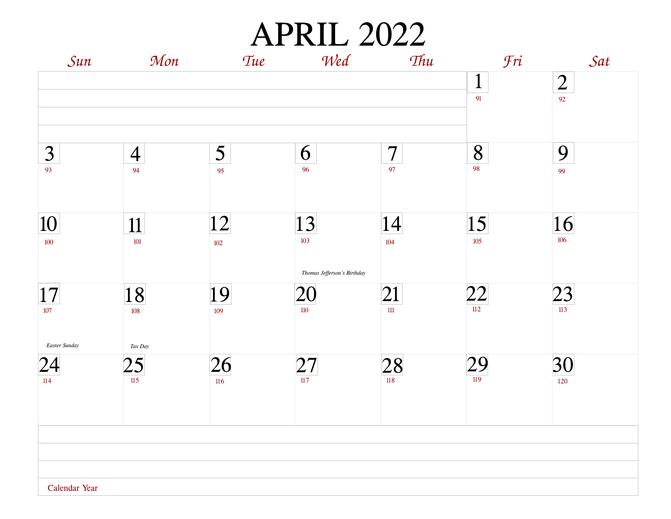APRIL 2022

| Sun                                     | Mon                  | Tue         | Wed                               | Thu                  | <b>Fri</b>         | Sat                  |
|-----------------------------------------|----------------------|-------------|-----------------------------------|----------------------|--------------------|----------------------|
|                                         |                      |             |                                   |                      | $\mathbf{1}$<br>91 | $\overline{2}$<br>92 |
|                                         |                      |             |                                   |                      |                    |                      |
| 3<br>93                                 | $\overline{4}$<br>94 | 5<br>95     | 6<br>96                           | $\overline{7}$<br>97 | 8<br>98            | 9<br>99              |
| 10<br>100                               | 11<br>101            | 12<br>102   | 13 <br>103                        | 14 <br>104           | 15 <br>105         | 16<br>106            |
| 17                                      | 18                   | 19          | Thomas Jefferson's Birthday<br>20 | 21                   | 22                 | 23                   |
| $107$                                   | 108                  | 109         | $110\,$                           | $1\!1$               | 112                | $\overline{113}$     |
| Easter Sunday<br>$\overline{24}$<br>114 | Tax Day<br>25<br>115 | 26<br>$116$ | 27 <br>117                        | 28                   | $\frac{29}{119}$   | 30<br>120            |
|                                         |                      |             |                                   |                      |                    |                      |
| Calendar Year                           |                      |             |                                   |                      |                    |                      |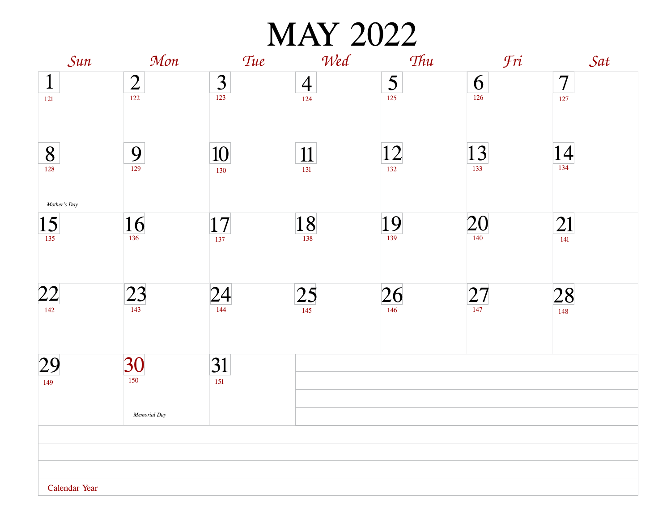MAY 2022

| Sun                 | Mon              | <b>Tue</b>       | Wed                 | Thu              | Fri              | Sat                 |
|---------------------|------------------|------------------|---------------------|------------------|------------------|---------------------|
| $\mathbf{1}$        | $\frac{2}{122}$  | $\frac{3}{123}$  | $\overline{4}$      | $\frac{5}{125}$  | 6                | $\overline{7}$      |
| 121                 |                  |                  | 124                 |                  | 126              | 127                 |
| 8                   | $\frac{9}{129}$  | 10               | 11                  | $\frac{12}{132}$ | $\frac{13}{133}$ | $14$ <sub>134</sub> |
| 128<br>Mother's Day |                  | 130              | 131                 |                  |                  |                     |
| $\frac{15}{135}$    | $\frac{16}{136}$ | $\frac{17}{137}$ | $18$ <sub>138</sub> | $\frac{19}{139}$ | $20_1$           | 21                  |
|                     |                  |                  |                     |                  |                  | 141                 |
| 22                  | 23               | 24               | $\overline{25}$     | $\frac{26}{146}$ | $\frac{27}{147}$ | 28                  |
| 142                 |                  | 144              | 145                 |                  |                  | 148                 |
| 29                  | 30               | 31               |                     |                  |                  |                     |
| 149                 | 150              | 151              |                     |                  |                  |                     |
|                     | Memorial Day     |                  |                     |                  |                  |                     |
|                     |                  |                  |                     |                  |                  |                     |
|                     |                  |                  |                     |                  |                  |                     |
|                     |                  |                  |                     |                  |                  |                     |
| Calendar Year       |                  |                  |                     |                  |                  |                     |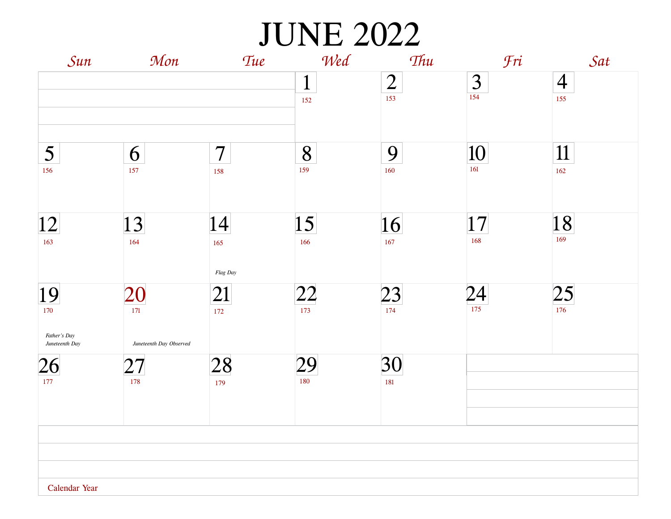JUNE 2022

| Sun                                  | Mon                     | <b>Tue</b>            | Wed                 | Thu                   | <b>Fri</b> | Sat                   |
|--------------------------------------|-------------------------|-----------------------|---------------------|-----------------------|------------|-----------------------|
|                                      |                         |                       | $\mathbf{1}$<br>152 | $\overline{2}$<br>153 | 3<br>154   | $\overline{4}$<br>155 |
| 5<br>156                             | 6<br>157                | $\overline{7}$<br>158 | 8<br>159            | 9<br>160              | 10<br>161  | 11<br>162             |
| 12 <br>163                           | 13<br>164               | 14 <br>165            | 15<br>166           | 16<br>167             | 17<br>168  | 18<br>169             |
| 19<br>170                            | 20<br>171               | Flag Day<br>21<br>172 | $ 22\rangle$<br>173 | $\frac{23}{174}$      | 24<br>175  | 25<br>176             |
| Father's Day<br>Juneteenth Day<br>26 | Juneteenth Day Observed | 28                    | 29                  | 30                    |            |                       |
| 177                                  | 178                     | 179                   | 180                 | 181                   |            |                       |
|                                      |                         |                       |                     |                       |            |                       |
| Calendar Year                        |                         |                       |                     |                       |            |                       |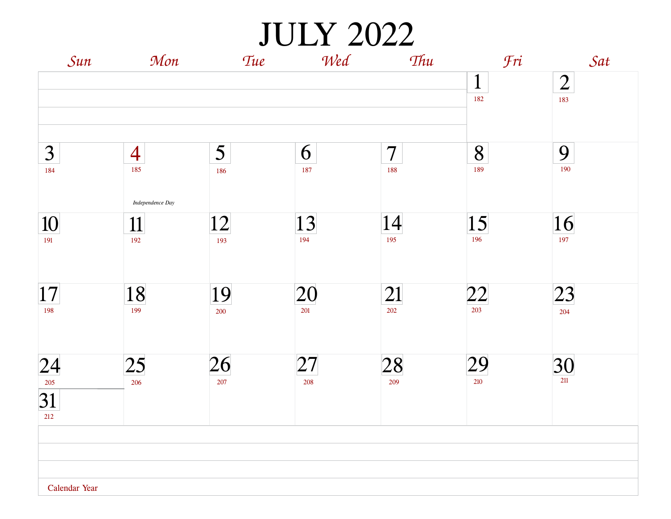JULY 2022

| Sun           | Mon                   | Tue                    | Wed       | Thu                   | Fri                    | Sat                   |
|---------------|-----------------------|------------------------|-----------|-----------------------|------------------------|-----------------------|
|               |                       |                        |           |                       | $\mathbf{1}$<br>182    | $\overline{2}$<br>183 |
| 3<br>184      | $\overline{4}$<br>185 | $5\overline{)}$<br>186 | 6<br>187  | $\overline{7}$<br>188 | 8<br>189               | 9<br>190              |
|               | Independence Day      |                        |           |                       |                        |                       |
| 10<br>191     | 11<br>192             | 12<br>193              | 13<br>194 | 14<br>195             | $\overline{15}$<br>196 | 16<br>197             |
|               |                       |                        |           |                       |                        |                       |
| 17 <br>198    | 18<br>199             | 19<br>200              | 20<br>201 | 21<br>202             | $\frac{22}{203}$       | 23<br>204             |
|               |                       |                        |           |                       |                        |                       |
| 24            | 25                    | 26                     | 27        | 28<br>209             | 29                     | $\frac{30}{211}$      |
| 31<br>212     | 206                   | 207                    | 208       |                       | 210                    |                       |
|               |                       |                        |           |                       |                        |                       |
|               |                       |                        |           |                       |                        |                       |
| Calendar Year |                       |                        |           |                       |                        |                       |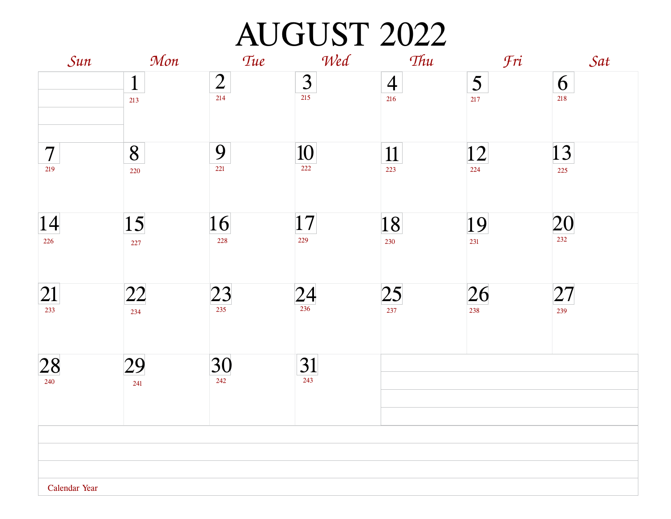# AUGUST 2022

| Sun                   | Mon                 | Tue                   | Wed                        | Thu                   | <b>Fri</b>                     | Sat        |
|-----------------------|---------------------|-----------------------|----------------------------|-----------------------|--------------------------------|------------|
|                       | $\mathbf{1}$<br>213 | $\overline{2}$<br>214 | $\frac{3}{215}$            | $\overline{4}$<br>216 | $\overline{\mathbf{5}}$<br>217 | 6<br>218   |
| $\overline{7}$<br>219 | 8<br>220            | 9<br>221              | <u>10</u><br>222           | $\frac{11}{223}$      | 12 <br>224                     | 13<br>225  |
| 14 <br>226            | 15<br>227           | 16<br>228             | 17 <br>229                 | 18<br>230             | 19<br>231                      | 20<br>232  |
| 21<br>233             | 22                  | 23                    | $\frac{24}{\frac{236}{2}}$ | $\frac{25}{237}$      | $\frac{26}{238}$               | 27 <br>239 |
| 28<br>240             | 29<br>241           | $\frac{30}{242}$      | $\frac{31}{243}$           |                       |                                |            |
|                       |                     |                       |                            |                       |                                |            |
|                       |                     |                       |                            |                       |                                |            |
| Calendar Year         |                     |                       |                            |                       |                                |            |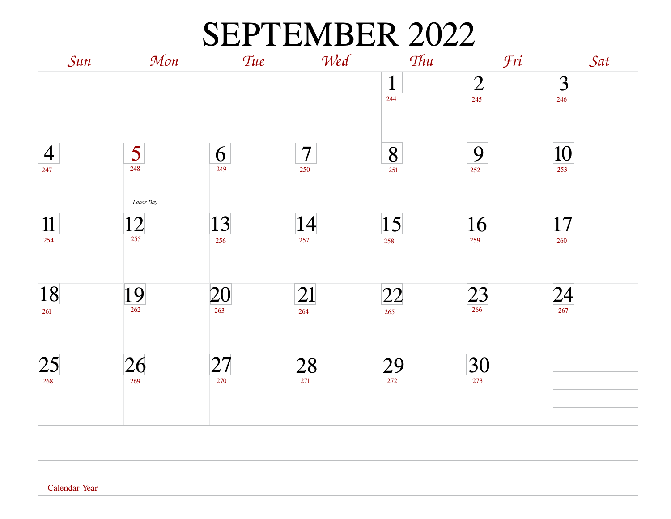#### SEPTEMBER 2022

| Sun            | Mon              | Tue       | Wed              | Thu                 | <b>Fri</b>            | Sat                            |
|----------------|------------------|-----------|------------------|---------------------|-----------------------|--------------------------------|
|                |                  |           |                  | $\mathbf{1}$<br>244 | $\overline{2}$<br>245 | $\overline{\mathbf{3}}$<br>246 |
|                |                  |           |                  |                     |                       |                                |
| $\overline{4}$ | 5                | 6         | $\overline{7}$   | 8                   | 9                     | 10                             |
| 247            | 248              | 249       | 250              | 251                 | 252                   | 253                            |
|                | Labor Day        |           |                  |                     |                       |                                |
| 11<br>254      | $\frac{12}{255}$ | 13<br>256 | 14<br>257        | 15<br>258           | 16<br>259             | 17<br>260                      |
|                |                  |           |                  |                     |                       |                                |
| 18             |                  | 20        | 21               | 22                  |                       |                                |
| 261            | $\frac{19}{262}$ | 263       | 264              | 265                 | 23                    | $\frac{24}{\frac{267}{}}$      |
|                |                  |           |                  |                     |                       |                                |
| 25<br>268      | $\frac{26}{269}$ | 27<br>270 | $\frac{28}{271}$ | $29 \over 272$      | $\frac{30}{273}$      |                                |
|                |                  |           |                  |                     |                       |                                |
|                |                  |           |                  |                     |                       |                                |
|                |                  |           |                  |                     |                       |                                |
| Calendar Year  |                  |           |                  |                     |                       |                                |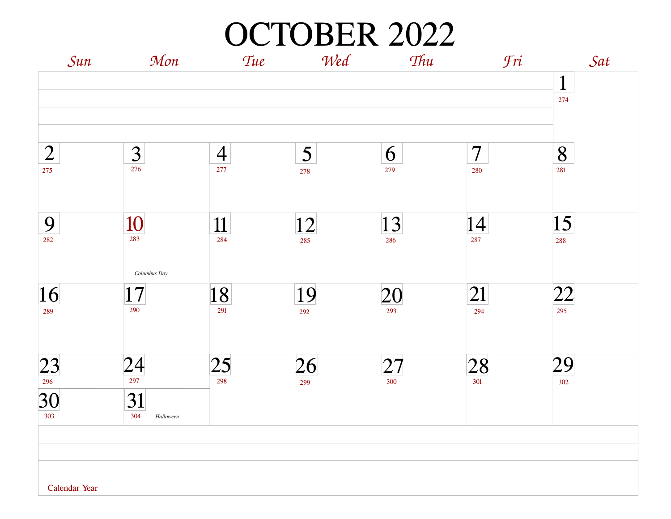OCTOBER 2022

| Sun              | Mon                    | Tue                    | Wed       | Thu              | Fri            | Sat                 |
|------------------|------------------------|------------------------|-----------|------------------|----------------|---------------------|
|                  |                        |                        |           |                  |                | $\mathbf{1}$<br>274 |
| $\overline{2}$   | $\frac{3}{276}$        | $\overline{4}$         | 5         | 6                | $\overline{7}$ | 8                   |
| 275              |                        | 277                    | 278       | 279              | 280            | 281                 |
| 9<br>282         | $\frac{10}{283}$       | 11<br>284              | 12<br>285 | 13<br>286        | 14<br>287      | 15                  |
|                  | Columbus Day           |                        |           |                  |                | 288                 |
| 16               | $17\,$<br>290          | 18<br>291              | 19        | <u>20</u><br>293 | 21             | 22                  |
| 289              |                        |                        | 292       |                  | 294            | 295                 |
| $\frac{23}{296}$ | $\frac{24}{297}$       | $\overline{25}$<br>298 | 26        | 27<br>300        | 28             | 29                  |
| 30<br>303        | 31<br>304<br>Halloween |                        | 299       |                  | 301            | 302                 |
|                  |                        |                        |           |                  |                |                     |
|                  |                        |                        |           |                  |                |                     |
| Calendar Year    |                        |                        |           |                  |                |                     |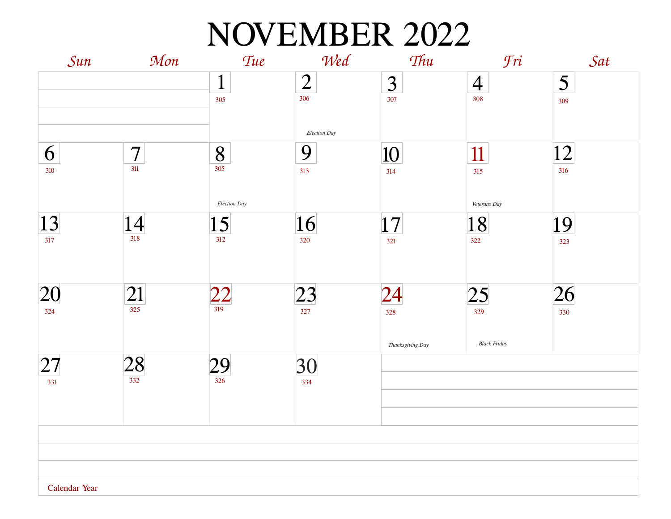### NOVEMBER 2022

| Sun           | Mon                 | Tue          | Wed            | Thu              | <b>Fri</b>          | Sat |
|---------------|---------------------|--------------|----------------|------------------|---------------------|-----|
|               |                     | $\mathbf{1}$ | $\overline{2}$ | 3                | $\overline{4}$      | 5   |
|               |                     | 305          | 306            | 307              | 308                 | 309 |
|               |                     |              |                |                  |                     |     |
|               |                     |              | Election Day   |                  |                     |     |
| 6             | $\overline{7}$      | 8            | 9              | 10               | 11                  | 12  |
| 310           | $311$               | 305          | 313            | 314              | 315                 | 316 |
|               |                     | Election Day |                |                  |                     |     |
|               |                     |              |                |                  | Veterans Day        |     |
| 13 <br>317    | $14$ <sub>318</sub> | 15<br>312    | 16<br>320      | 17               | 18<br>322           | 19  |
|               |                     |              |                | 321              |                     | 323 |
|               |                     |              |                |                  |                     |     |
| $ 20\>$       | 21                  | 22           | 23             | 24               | 25                  | 26  |
| 324           | 325                 | 319          | 327            | 328              | 329                 | 330 |
|               |                     |              |                |                  |                     |     |
|               |                     |              |                | Thanksgiving Day | <b>Black Friday</b> |     |
| 27            | 28                  | 29           | 30             |                  |                     |     |
| 331           | 332                 | 326          | 334            |                  |                     |     |
|               |                     |              |                |                  |                     |     |
|               |                     |              |                |                  |                     |     |
|               |                     |              |                |                  |                     |     |
|               |                     |              |                |                  |                     |     |
|               |                     |              |                |                  |                     |     |
| Calendar Year |                     |              |                |                  |                     |     |